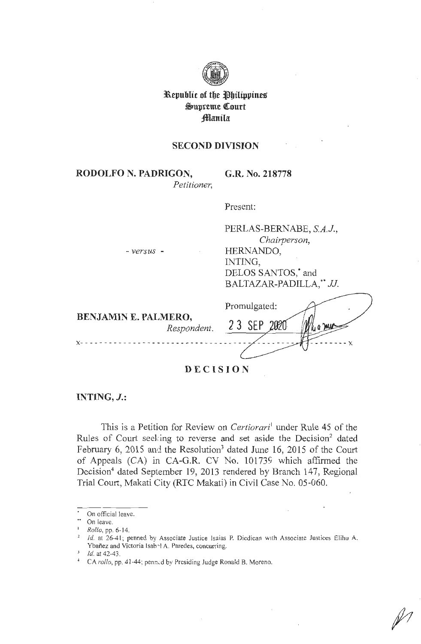

**31lepubltc of tbe ~bilippiueg**   $\mathfrak{S}$ upreme Court **;fflanila** 

# **SECOND DIVISION**

**RODOLFO N. PADRIGON,**  *Petitioner,*  **G.R. No. 218778** 

Present:

- *versus* -

PERLAS-BERNABE, *S.A.J., Chairperson,*  HERNANDO, INTING, DELOS SANTOS,<sup>\*</sup> and BALTAZAR-PADILLA:• *JJ.* 

|                                            | Promulgated: |
|--------------------------------------------|--------------|
| <b>BENJAMIN E. PALMERO,</b><br>Respondent. | 23 SEP       |
|                                            |              |

**DECISION** 

**INTING, J.:** 

This is a Petition for Review on *Certiorari*<sup>1</sup> under Rule 45 of the Rules of Court seeking to reverse and set aside the Decision<sup>2</sup> dated February 6, 2015 and the Resolution<sup>3</sup> dated June 16, 2015 of the Court of Appeals (CA) in CA-G.R. CV No. 101739 which affirmed the Decision<sup>4</sup> dated September 19, 2013 rendered by Branch 147, Regional Trial Court, Makati City (RTC Makati) in Civil Case No. 05-060.

On official leave.

On leave.

<sup>1</sup>*Rollo,* pp. 6-14.

 $1/2$  Id. at 26-41; penned by Associate Justice Isaias P. Dicdican with Associate Justices Elihu A. Ybañez and Victoria Isab<sup>3</sup> A. Paredes, concurring.<br>*Id.* at 42-43.

<sup>&</sup>lt;sup>4</sup> CA *rollo*, pp. 41-44; penn.d by Presiding Judge Ronald B. Moreno.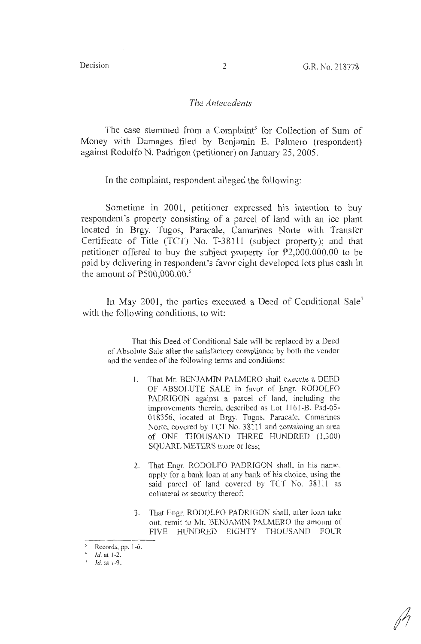## *The Antecedents*

The case stemmed from a Complaint<sup>5</sup> for Collection of Sum of Money with Damages filed by Benjamin E. Palmero (respondent) against Rodolfo N. Padrigon (petitioner) on January 25, 2005.

In the complaint, respondent alleged the following:

Sometime in 2001, petitioner expressed his intention to buy respondent's property consisting of a parcel of land with an ice plant located in Brgy. Tugos, Paracale, Camarines Norte with Transfer Certificate of Title (TCT) No. T-38111 (subject property); and that petitioner offered to buy the subject property for P2,000,000.00 to be paid by delivering in respondent's favor eight developed lots plus cash in the amount of P500,000.00. 6

In May 2001, the parties executed a Deed of Conditional Sale<sup>7</sup> with the following conditions, to wit:

That this Deed of Conditional Sale will be replaced by a Deed of Absolute Sale after the satisfactory compliance by both the vendor and the vendee of the following terms and conditions:

- 1. That Mr. BENJAMIN PALMERO shall execute a DEED OF ABSOLUTE SALE in favor of Engr. RODOLFO PADRIGON against a parcel of land, including the improvements therein, described as Lot 1161 -B, Psd-05- 018356, located at Brgy. Tugos, Paracale, Camarines Norte, covered by TCT No. 38111 and containing an area of ONE THOUSAND THREE HUNDRED (1,300) SQUARE METERS more or less;
- 2. That Engr. RODOLFO PADRIGON shall, in his name, apply for a bank loan at any bank of his choice, using the said parcel of land covered by TCT No. 38111 as collateral or security thereof;
- 3. That Engr. RODOLFO PADRlGON shall, afler loan take out, remit to Mr. BENJAMlN PALMERO the amount of FlVE HUNDRED EIGHTY THOUSAND FOUR

Records, pp. 1-6.

*Id.* at 1-2.

*<sup>1</sup>*Id. at 7-9.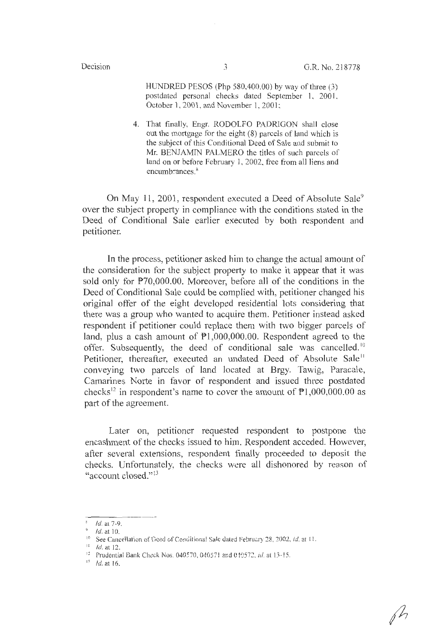HUNDRED PESOS (Php 580,400.00) by way of three (3) postdated personal checks dated September 1, 2001, October 1, 2001, and November 1, 2001;

4. That finally, Engr. RODOLFO PADRIGON shall close out the mortgage for the eight (8) parcels of land which is the subject of this Conditional Deed of Sale and submit to Mr. BENJAMIN PALMERO the titles of such parcels of land on or before February 1, 2002, free from all liens and encumbrances.<sup>8</sup>

On May 11, 2001, respondent executed a Deed of Absolute Sale<sup>9</sup> over the subject property in compliance with the conditions stated in the Deed of Conditional Sale earlier executed by both respondent and petitioner.

In the process, petitioner asked him to change the actual amount of the consideration for the subject property to make it appear that it was sold only for P70,000.00. Moreover, before all of the conditions in the Deed of Conditional Sale could be complied with, petitioner changed his original offer of the eight developed residential lots considering that there was a group who wanted to acquire them. Petitioner instead asked respondent if petitioner could replace them with two bigger parcels of land, plus a cash amount of  $P1,000,000.00$ . Respondent agreed to the offer. Subsequently, the deed of conditional sale was cancelled.<sup>10</sup> Petitioner, thereafter, executed an undated Deed of Absolute Sale<sup>11</sup> conveying two parcels of land located at Brgy. Tawig, Paracale, Camarines Norte in favor of respondent and issued three postdated checks<sup>12</sup> in respondent's name to cover the amount of  $\overline{P}1,000,000.00$  as part of the agreement.

Later on, petitioner requested respondent to postpone the encashment of the checks issued to him. Respondent acceded. However, after several extensions, respondent finally proceeded to deposit the checks. Unfortunately, the checks were all dishonored by reason of "account closed." <sup>13</sup>

Id. at 7-9.

 $1d$ . at 10.

<sup>&</sup>lt;sup>10</sup> See Cancellation of Deed of Conditional Sale dated February 28, 2002, *id.* at 11.

 $11$  Id. at 12.

<sup>&</sup>lt;sup>12</sup> Prudential Bank Check Nos. 040570, 040571 and 010572, *id.* at 13-15.<br><sup>13</sup> Id. at 16.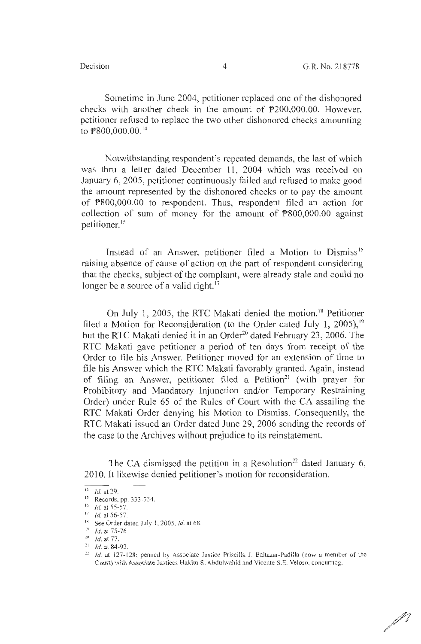Sometime in June 2004, petitioner replaced one of the dishonored checks with another check in the amount of P200,000.00. However, petitioner refused to replace the two other dishonored checks amounting to P800,000.00. <sup>14</sup>

Notwithstanding respondent's repeated demands, the last of which was thru a letter dated December 11, 2004 which was received on January 6, 2005, petitioner continuously failed and refused to make good the amount represented by the dishonored checks or to pay the amount of P800,000.00 to respondent. Thus, respondent filed an action for collection of sum of money for the amount of P800,000.00 against petitioner. <sup>15</sup>

Instead of an Answer, petitioner filed a Motion to Dismiss<sup>16</sup> raising absence of cause of action on the part of respondent considering that the checks, subject of the complaint, were already stale and could no longer be a source of a valid right.<sup>17</sup>

On July 1, 2005, the RTC Makati denied the motion.<sup>18</sup> Petitioner filed a Motion for Reconsideration (to the Order dated July 1, 2005),  $19$ but the RTC Makati denied it in an Order<sup>20</sup> dated February 23, 2006. The RTC Makati gave petitioner a period of ten days from receipt of the Order to file his Answer. Petitioner moved for an extension of time to file his Answer which the RTC Makati favorably granted. Again, instead of filing an Answer, petitioner filed a Petition<sup>21</sup> (with prayer for Prohibitory and Mandatory Injunction and/or Temporary Restraining Order) under Rule 65 of the Rules of Court with the CA assailing the RTC Makati Order denying his Motion to Dismiss. Consequently, the RTC Makati issued an Order dated June 29, 2006 sending the records of the case to the Archives without prejudice to its reinstatement.

The CA dismissed the petition in a Resolution<sup>22</sup> dated January 6, 2010. It likewise denied petitioner's motion for reconsideration.

 $\mathscr N$ 

 $14$  *Id.* at 29.

<sup>&</sup>lt;sup>15</sup> Records, pp. 333-334.<br><sup>16</sup> *Id.* at 55-57.

 $17$  *Id.* at 56-57.

<sup>&</sup>lt;sup>18</sup> See Order dated July 1, 2005, *id.* at 68.<br><sup>19</sup> *Id.* at 75-76.

<sup>&</sup>lt;sup>20</sup> *Id.* at 77.<br><sup>21</sup> *Id.* at 84-92.<br><sup>22</sup> *Id.* at 127-128; penned by Associate Justice Priscilla J. Baltazar-Padilla (now a member of the Court) with Associate Justices Hakim S. Abdulwahid and Vicente S.E. Veloso, concurring.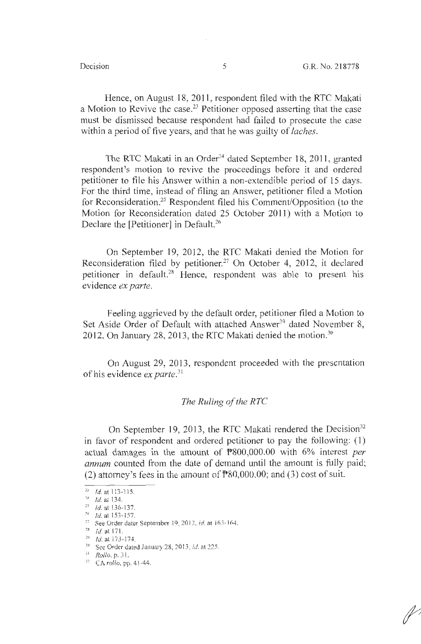Hence, on August 18, 2011, respondent filed with the RTC Makati a Motion to Revive the case.<sup>23</sup> Petitioner opposed asserting that the case must be dismissed because respondent had failed to prosecute the case within a period of five years, and that he was guilty of *!aches.* 

The RTC Makati in an Order<sup>24</sup> dated September 18, 2011, granted respondent's motion to revive the proceedings before it and ordered petitioner to file his Answer within a non-extendible period of 15 days. For the third time, instead of filing an Answer, petitioner filed a Motion for Reconsideration. 25 Respondent filed his Comment/Opposition (to the Motion for Reconsideration dated 25 October 2011) with a Motion to Declare the [Petitioner] in Default.<sup>26</sup>

On September 19, 2012, the RTC Makati denied the Motion for Reconsideration filed by petitioner.<sup>27</sup> On October 4, 2012, it declared petitioner in default.28 Hence, respondent was able to present his evidence *ex parte.* 

Feeling aggrieved by the default order, petitioner filed a Motion to Set Aside Order of Default with attached Answer<sup>29</sup> dated November 8, 2012. On January 28, 2013, the RTC Makati denied the motion.<sup>30</sup>

On August 29, 2013, respondent proceeded with the presentation of his evidence *ex parte.*<sup>31</sup>

## *The Ruling of the RTC*

On September 19, 2013, the RTC Makati rendered the Decision<sup>32</sup> in favor of respondent and ordered petitioner to pay the following: ( l) actual damages in the amount of P800,000.00 with 6% interest *per annum* counted from the date of demand until the amount is fully paid; (2) attorney's fees in the amount of  $\mathbb{P}80,000.00$ ; and (3) cost of suit.

<sup>&</sup>lt;sup>23</sup> *Id.* at 113-115.

 $^{24}$  *Id.* at 134.

<sup>&#</sup>x27; <sup>5</sup>*id.* at !36- 137. 16 */J.* at 153- 157.

<sup>&</sup>lt;sup>27</sup> See Order dater September 19, 2012, *id.* at 163-164.

 $\frac{28}{29}$  *Id.* at 171.<br>
29 *Id.* at 173-174.

<sup>&</sup>lt;sup>30</sup> See Order dated January 28, 2013, *id.* at 225.

<sup>;</sup> <sup>i</sup>*/?.ollo,* p. 3 1.

n CA *rollo,* pp. 4 1-44.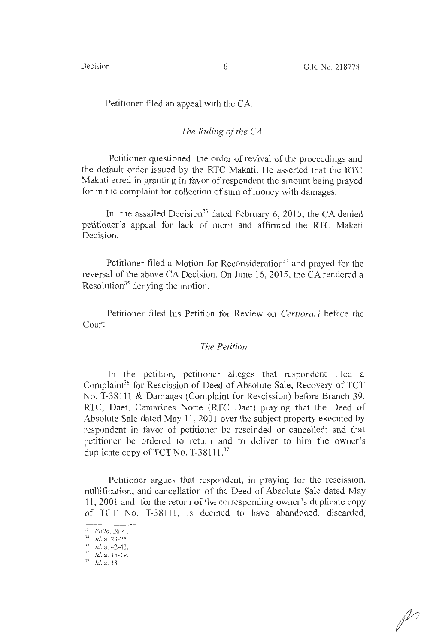## Petitioner filed an appeal with the CA.

## *The Ruling of the CA*

Petitioner questioned the order of revival of the proceedings and the default order issued by the RTC Makati. He asserted that the RTC Makati erred in granting in favor of respondent the amount being prayed for in the complaint for collection of sum of money with damages.

In the assailed Decision<sup>33</sup> dated February 6, 2015, the CA denied petitioner's appeal for lack of merit and affirmed the RTC Makati Decision.

Petitioner filed a Motion for Reconsideration<sup>34</sup> and prayed for the reversal of the above CA Decision. On June 16, 2015, the CA rendered a Resolution<sup>35</sup> denying the motion.

Petitioner filed his Petition for Review on *Certiorari* before the Court.

# *The Petition*

In the petition, petitioner alleges that respondent filed a Complaint<sup>36</sup> for Rescission of Deed of Absolute Sale, Recovery of TCT No. T-38111 & Damages (Complaint for Rescission) before Branch 39, RTC, Daet, Camarines Norte (RTC Daet) praying that the Deed of Absolute Sale dated May 11, 2001 over the subject property executed by respondent in favor of petitioner be rescinded or cancelled; and that petitioner be ordered to return and to deliver to him the owner's duplicate copy of TCT No. T-38111.<sup>37</sup>

Petitioner argues that respondent, in praying for the rescission, nullification, and cancellation of the Deed of Absolute Sale dated May 11, 2001 and for the return of the corresponding owner's duplicate copy of TCT No. T-38111, is deemed to have abandoned, discarded,  $\frac{1}{3! \text{ Rollo} \cdot 26-41}$ 

<sup>33</sup>*Rollo,* 26-41 .

 $34$  Id. at 23-25.

<sup>&</sup>lt;sup>35</sup> *Id.* at 42-43.

 $^{46}$  *Id.* at 15-19.

 $^{37}$  *Id.* at 18.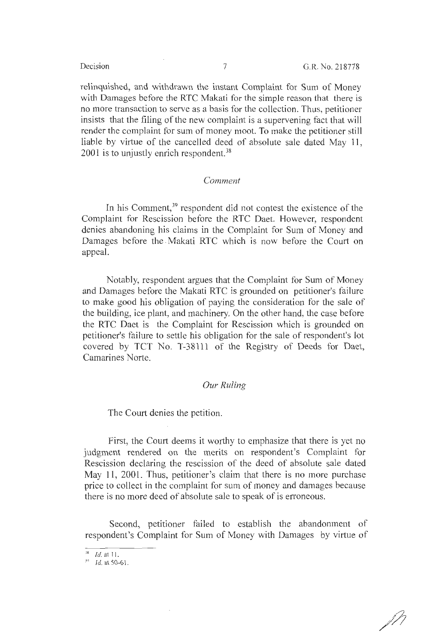relinquished, and withdrawn the instant Complaint for Sum of Money with Damages before the RTC Makati for the simple reason that there is no more transaction to serve as a basis for the collection. Thus, petitioner insists that the filing of the new complaint is a supervening fact that will render the complaint for sum of money moot. To make the petitioner still liable by virtue of the cancelled deed of absolute sale dated May 11, 2001 is to unjustly enrich respondent.<sup>38</sup>

### *Comment*

In his Comment,<sup>39</sup> respondent did not contest the existence of the Complaint for Rescission before the RTC Daet. However, respondent denies abandoning his claims in the Complaint for Sum of Money and Damages before the . Makati RTC which is now before the Court on appeal.

Notably, respondent argues that the Complaint for Sum of Money and Damages before the Makati RTC is grounded on petitioner's failure to make good his obligation of paying the consideration for the sale of the building, ice plant, and machinery. On the other hand, the case before the RTC Daet is the Complaint for Rescission which is grounded on petitioner's failure to settle his obligation for the sale of respondent's lot covered by TCT No. T-38111 of the Registry of Deeds for Daet, Camarines Norte.

## *Our Ruling*

The Court denies the petition.

First, the Court deems it worthy to emphasize that there is yet no judgment rendered on the merits on respondent's Complaint for Rescission declaring the rescission of the deed of absolute sale dated May 11, 2001. Thus, petitioner's claim that there is no more purchase price to collect in the complaint for sum of money and damages because there is no more deed of absolute sale to speak of is erroneous.

Second, petitioner failed to establish the abandonment of respondent's Complaint for Sum of Money with Damages by virtue of

 $^{38}$  *Id.* at 11.

 $^{39}$  *Id.* at 50-61.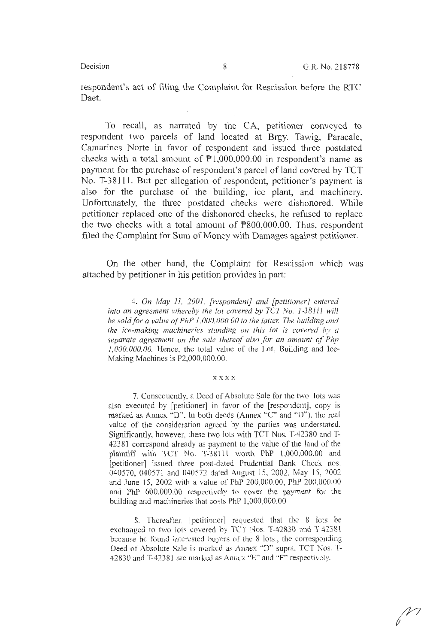respondent's act of filing the Complaint for Rescission before the RTC Daet.

To recall, as narrated by the CA, petitioner conveyed to respondent two parcels of land located at Brgy. Tawig, Paracale, Camarines Norte in favor of respondent and issued three postdated checks with a total amount of  $P1,000,000.00$  in respondent's name as payment for the purchase of respondent's parcel of land covered by TCT No. T-38111. But per allegation of respondent, petitioner's payment is also for the purchase of the building, ice plant, and machinery. Unfortunately, the three postdated checks were dishonored. While petitioner replaced one of the dishonored checks, he refused to replace the two checks with a total amount of  $P800,000.00$ . Thus, respondent filed the Complaint for Sum of Money with Damages against petitioner.

On the other hand, the Complaint for Rescission which was attached by petitioner in his petition provides in part:

4. *On May 11, 2001, [respondent] and [petitioner] entered*  into an agreement whereby the lot covered by TCT No. T-38111 will *be sold for a value of PhP 1,000,000.00 to the latter. The building and the ice-making machineries standing on this lot is covered by a separate agreement on the sale thereof also for an amount of Php 1,000,000.00.* Hence, the total value of the Lot, Building and Ice-Making Machines is P2,000,000.00.

#### **xxxx**

7. Consequently, a Deed of Absolute Sale for the two lois was also executed by [petitioner] in favor of the [respondent], copy is marked as Annex "D". In both deeds (Annex "C" and "D"), the real value of the consideration agreed by the parties was understated. Significantly, however, these two lots with TCT Nos. T-42380 and T-42381 correspond already as payment to the value of the land of the plaintiff with TCT No. T-38111 worth PhP 1,000,000.00 and [petitioner] issued three post-dated Prudential Bank Check nos. 040570, 040571 and 040572 dated August 15, 2002, May 15, 2002 and June 15, 2002 with a value of PhP 200,000.00, PhP 200,000.00 and PhP 600,000.00 respectively to cover the payment for the building and machineries that costs ?hP 1,000,000.00

8. Thereafter, [petitioner] requested that the 8 lots be exchanged to two lots covered by TCT Nos. T-42830 and T-42381 because he found interested buyers of the 8 lots., the corresponding Deed of Absolute Sale is marked as Annex "D" supra. TCT Nos. T-42830 and T-42381 are marked as Annex "E" and "F" respectively.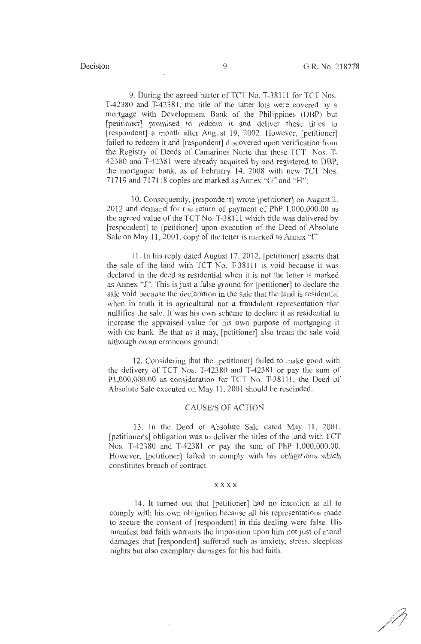9. During the agreed barter of TCT No. T-38111 for TCT Nos. T-42380 and T-42381, the title of the latter lots were covered by a mortgage with Development Bank of the Philippines (DBP) but [petitioner] promised to redeem it and deliver these titles to [respondent] a month after August 19, 2002. However, [petitioner] failed to redeem it and [respondent] discovered upon verification from the Registry of Deeds of Camarines Norte that these TCT Nos. T-42380 and T-42381 were already acquired by and registered to DBP, the mortgagee bank, as of February 14, 2008 with new TCT Nos. 71719 and 717118 copies are marked as Annex "G" and "H";

10. Consequently, [respondent] wrote [petitioner] on August 2, 2012 and demand for the return of payment of PhP 1,000,000.00 as the agreed value of the TCT No. T-38111 which title was delivered by [respondent] to [petitioner] upon execution of the Deed of Absolute Sale on May 11, 2001, copy of the letter is marked as Annex "I"

11. In his reply dated August 17, 2012, [petitioner] asserts that the sale of the land with TCT No. T-38111 is void because it was declared in the deed as residential when it is not the letter is marked as Annex "J". This is just a false ground for [petitioner] to declare the sale void because the declaration in the sale that the land is residential when in truth it is agricultural not a fraudulent representation that nullifies the sale. It was his own scheme to declare it as residential to increase the appraised value for his own purpose of mortgaging it with the bank. Be that as it may, [petitioner] also treats the sale void although on an erroneous ground;

12. Considering that the [petitioner] failed to make good with the delivery of TCT Nos. T-42380 and T-42381 or pay the sum of Pl,000,000.00 as consideration for TCT No. T-38111, the Deed of Absolute Sale executed on May 11, 2001 should be rescinded.

### CAUSE/S OF ACTION

13. In the Deed of Absolute Sale dated May 11, 2001, [petitioner's] obligation was to deliver the titles of the land with TCT Nos. T-42380 and T-42381 or pay the sum of PhP 1,000,000.00. However, [petitioner] failed to comply with his obligations which constitutes breach of contract.

### xxxx

14. It turned out that [petitioner] had no intention at all to comply with his own obligation because all his representations made to secure the consent of [respondent] in this dealing were false. His manifest bad faith warrants the imposition upon him not just of moral damages that [respondent] suffered such as anxiety, stress, sleepless nights but also exemplary damages for his bad faith.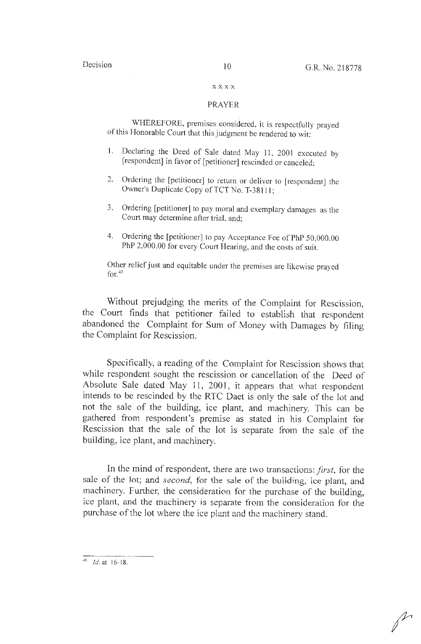### **XX.XX**

### PRAYER

WHEREFORE, premises considered, it is respectfully prayed of this Honorable Court that this judgment be rendered to wit:

- 1. Declaring the Deed of Sale dated May 11, 2001 executed by [respondent] in favor of [petitioner] rescinded or canceled;
- 2. Ordering the [petitioner] to return or deliver to [respondent] the Owner's Duplicate Copy of TCT No. T-38111;
- 3. Ordering [petitioner] to pay moral and exemplary damages as the Court may determine after trial, and;
- 4. Ordering the [petitioner] to pay Acceptance Fee of PhP 50,000.00 PhP 2,000.00 for every Court Hearing, and the costs of suit.

Other relief just and equitable under the premises are likewise prayed for.<sup>40</sup>

Without prejudging the merits of the Complaint for Rescission, the Court finds that petitioner failed to establish that respondent abandoned the Complaint for Sum of Money with Damages by filing the Complaint for Rescission.

Specifically, a reading of the Compiaint for Rescission shows that while respondent sought the rescission or cancellation of the Deed of Absolute Sale dated May 11, 2001, it appears that what respondent intends to be rescinded by the RTC Daet is only the sale of the lot and not the sale of the building, ice plant, and machinery. This can be gathered from respondent's premise as stated in his Complaint for Rescission that the sale of the lot is separate from the sale of the building, ice plant, and machinery.

In the mind of respondent, there are two transactions: *first,* for the sale of the Jot; and *second,* for the sale of the building, ice plant, and machinery. Further, the consideration for the purchase of the building, ice plant, and the machinery is separate from the consideration for the purchase of the lot where the ice plant and the machinery stand.

 $-40$  Id. at 16-18.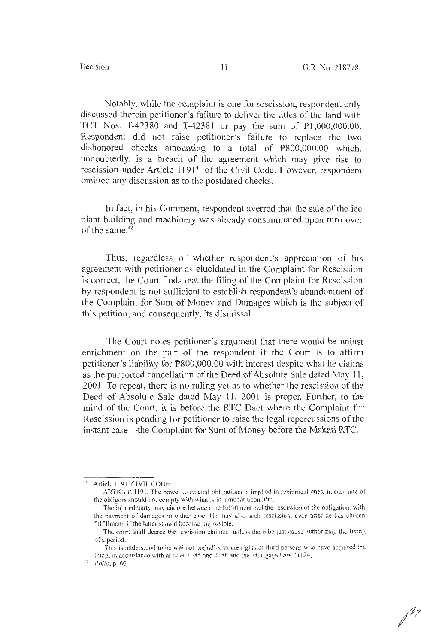Notably, while the complaint is one for rescission, respondent only discussed therein petitioner's failure to deliver the titles of the land with TCT Nos. T-42380 and T-42381 or pay the sum of Pl ,000,000.00. Respondent did not raise petitioner's failure to replace the two dishonored checks amounting to a total of P800,000.00 which, undoubtedly, is a breach of the agreement which may give rise to rescission under Article 1191<sup>41</sup> of the Civil Code. However, respondent omitted any discussion as to the postdated checks.

In fact, in his Comment, respondent averred that the sale of the ice plant building and machinery was already consummated upon turn over of the same. $42$ 

Thus, regardless of whether respondent's appreciation of his agreement with petitioner as elucidated in the Complaint for Rescission is correct, the Court finds that the filing of the Complaint for Rescission by respondent is not sufficient to establish respondent's abandonment of the Complaint for Sum of Money and Damages which is the subject of this petition, and consequently, its dismissal.

The Court notes petitioner's argument that there would be unjust enrichment on the part of the respondent if the Court is to affirm petitioner's liability for P800,000.00 with interest despite what he daims as the purported cancellation of the Deed of Absolute Sale dated May 11 , 2001. To repeat, there is no ruling yet as to whether the rescission of the Deed of Absolute Sale dated May 11, 2001 is proper. Further, to the mind of the Court, it is before the RTC Daet where the Complaint for Rescission is pending for petitioner to raise the legal repercussions of the instant case—the Complaint for Sum of Money before the Makati RTC.

<sup>&</sup>lt;sup>41</sup> Article 1191, CIVIL CODE:

ARTICLE 1191. The power to rescind obligations is implied in reciprocal ones, in case one of the obligors should not comply with what is incumbent upon him,

The injured party may choose between the fulfillment and the rescission of the obligation, with the payment of damages in either case. He-may also seek rescission, even after he has chosen fulfillment, if the latter should become impossible.

The court shall decree the rescission claimed, unless there be just cause authorizing the fixing of a period.

This is understood to be without prejudice to the rights of third persons who have acquired the thing, in accordance with articles 1385 and 1388 and the Mortgage Law  $(1124)$ 

 $^{42}$   $Rollo, p. 60.$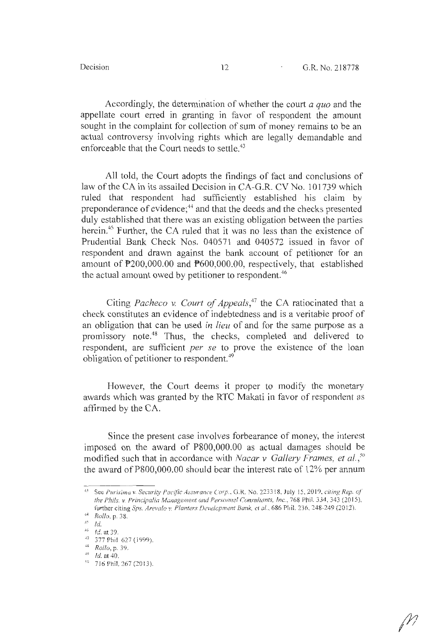Accordingly, the determination of whether the court *a quo* and the appellate court erred in granting in favor of respondent the amount sought in the complaint for collection of sum of money remains to be an actual controversy involving rights which are legally demandable and enforceable that the Court needs to settle.<sup>43</sup>

All told, the Court adopts the findings of fact and conclusions of law of the CA in its assailed Decision in CA-G.R. CV No. 101739 which ruled that respondent had sufficiently established his claim by preponderance of evidence;<sup>44</sup> and that the deeds and the checks presented duly established that there was an existing obligation between the parties herein.<sup>45</sup> Further, the CA ruled that it was no less than the existence of Prudential Bank Check Nos. 040571 and 040572 issued in favor of respondent and drawn against the bank account of petitioner for an amount of P200,000.00 and P600,000.00, respectively, that established the actual amount owed by petitioner to respondent.<sup>46</sup>

Citing *Pacheco v. Court of Appeals*,<sup>47</sup> the CA ratiocinated that a check constitutes an evidence of indebtedness and is a veritable proof of an obligation that can be used in *lieu* of and for the same purpose as a promissory note.48 Thus, the checks, completed and delivered to respondent, are sufficient *per se* to prove the existence of the loan obligation of petitioner to respondent.<sup>49</sup>

However, the Court deems it proper to modify the monetary awards which was granted by the RTC Makati in favor of respondent as affirmed by the CA.

Since the present case involves forbearance of money, the interest imposed on the award of P800,000.00 as actual damages should be modified such that in accordance with *Nacar v Gallery Frames, et al.*<sup>50</sup> the award of P800,000.00 should bear the interest rate of 12% per annum

<sup>43</sup> See *Purisimu v. Security Pacific Assurance Corp ..* G.R. No. 2233 ! 8, July *IS,* 20 I 9. *ciiing Rep. cf the Phils. v. Principalia Management and Personnel Consultants, Inc., 768 Phil. 334, 343 (2015),* further citing *Sps. Arevalo v. Planters Development Bank, ct al.*, 686 Phil. 236, 248-249 (2012).

<sup>&#</sup>x27; 1 • *Rollo,* p. 38.

<sup>&</sup>lt;sup>45</sup> *Id.* 

<sup>&</sup>lt;sup>46</sup> *Id.* at 39.

<sup>&</sup>lt;sup>47</sup> 377 Phil 627 (1999).

<sup>7 377</sup> Phil 627 (i999). 46 *Rollo,* p. 39. 40 Id. at 40.

<sup>&</sup>lt;sup>50</sup> 716 Phil. 267 (2013).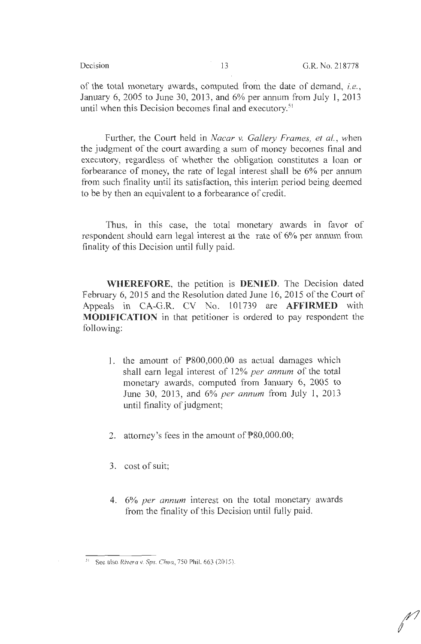of the total monetary awards, computed from the date of demand, *i.e. ,*  January 6, 2005 to June 30, 2013, and 6% per annum from July 1, 2013 until when this Decision becomes final and executory.<sup>51</sup>

Further, the Court held in *Nacar v. Gallery Frames, et al.,* when the judgment of the court awarding a sum of money becomes final and executory, regardless of whether the obligation constitutes a loan or forbearance of money, the rate of legal interest shall be 6% per annum from such finality until its satisfaction, this interim period being deemed to be by then an equivalent to a forbearance of credit.

Thus, in this case, the total monetary awards in favor of respondent should earn legal interest at the rate of 6% per annum from finality of this Decision until fully paid.

**WHEREFORE,** the petition is **DENIED.** The Decision dated February 6, 2015 and the Resolution dated June 16, 2015 of the Court of Appeals in CA-G.R. CV No. 101739 are **AFFIRMED** with **MODIFICATION** in that petitioner is ordered to pay respondent the following:

- 1. the amount of P800,000.00 as actual damages which shall earn legal interest of 12% *per annum* of the total monetary awards, computed from January 6, 2005 to June 30, 2013, and 6% *per annum* from July 1, 2013 until finality of judgment;
- 2. attorney's fees in the amount of P80,000.00;
- 3. cost of suit;
- 4. 6% *per annum* interest on the total monetary awards from the finality of this Decision until fully paid.

<sup>51</sup> See also *Rivera* v. *Sps. Chua,* 750 Phil. 663 (20 15).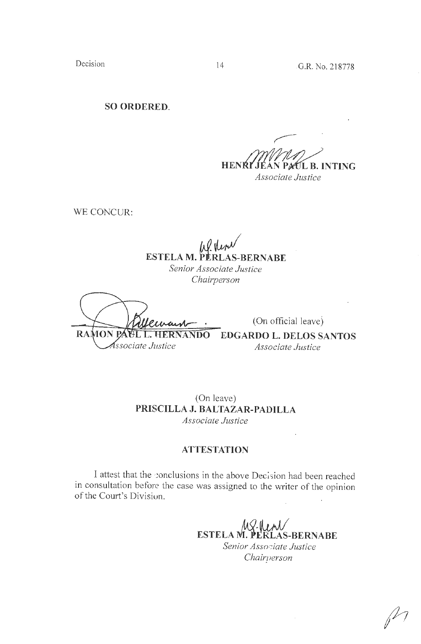Decision 14 G.R. No. 218778

**SO ORDERED.** 

**HENRY L B. INTING** *Associate Justice* 

WE CONCUR:

 $\mu$ f verv **ESTELA M. PERLAS-BERNABE**  *Senior Associate Justice* 

*Chairperson* 

( On official leave) **RAMON PA E.L. HERNANDO EDGARDO L. DELOS SANTOS** Associate Justice *Associate Justice* 

(On leave) **PRISCILLA J. BALTAZAR-PADILLA**  *Associate Justice* 

# **ATTESTATION**

I attest that the conclusions in the above Decision had been reached in consultation before the case was assigned to the writer of the opinion of the Court's Divisiun.

**ESTELA M. PERLAS-BERNABE** *Senior Assor:iate Justice Chairuerson*